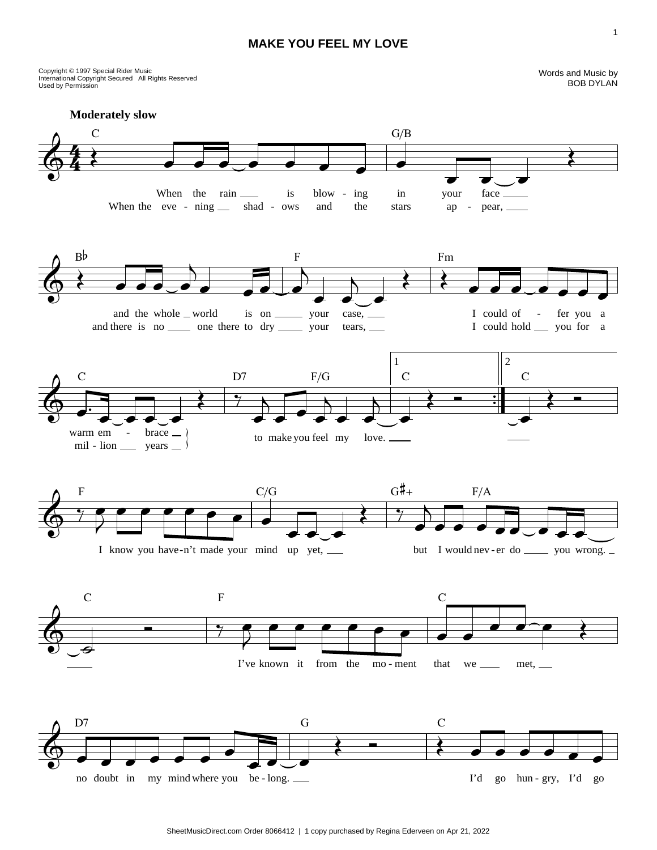## **MAKE YOU FEEL MY LOVE**